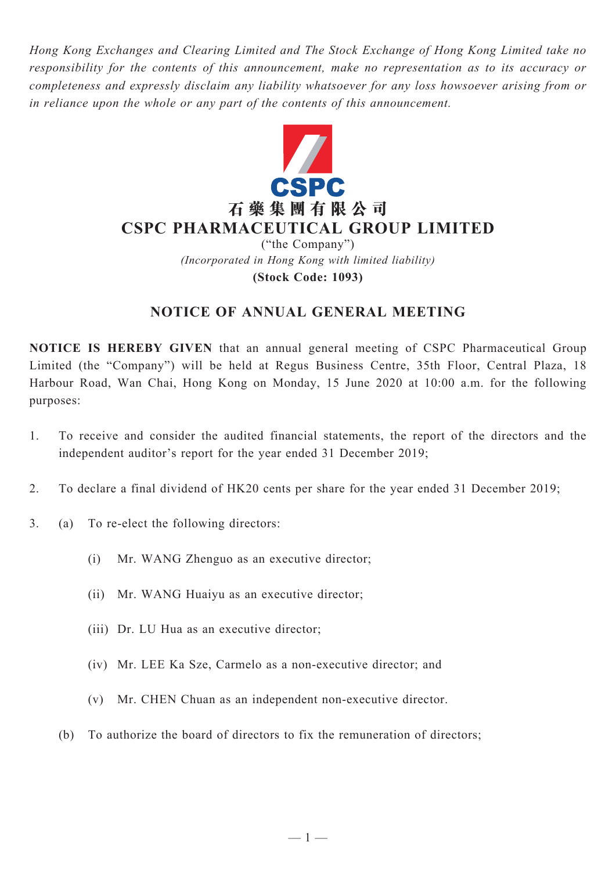*Hong Kong Exchanges and Clearing Limited and The Stock Exchange of Hong Kong Limited take no responsibility for the contents of this announcement, make no representation as to its accuracy or completeness and expressly disclaim any liability whatsoever for any loss howsoever arising from or in reliance upon the whole or any part of the contents of this announcement.*



*(Incorporated in Hong Kong with limited liability)* **(Stock Code: 1093)**

## **NOTICE OF ANNUAL GENERAL MEETING**

**NOTICE IS HEREBY GIVEN** that an annual general meeting of CSPC Pharmaceutical Group Limited (the "Company") will be held at Regus Business Centre, 35th Floor, Central Plaza, 18 Harbour Road, Wan Chai, Hong Kong on Monday, 15 June 2020 at 10:00 a.m. for the following purposes:

- 1. To receive and consider the audited financial statements, the report of the directors and the independent auditor's report for the year ended 31 December 2019;
- 2. To declare a final dividend of HK20 cents per share for the year ended 31 December 2019;
- 3. (a) To re-elect the following directors:
	- (i) Mr. WANG Zhenguo as an executive director;
	- (ii) Mr. WANG Huaiyu as an executive director;
	- (iii) Dr. LU Hua as an executive director;
	- (iv) Mr. LEE Ka Sze, Carmelo as a non-executive director; and
	- (v) Mr. CHEN Chuan as an independent non-executive director.
	- (b) To authorize the board of directors to fix the remuneration of directors;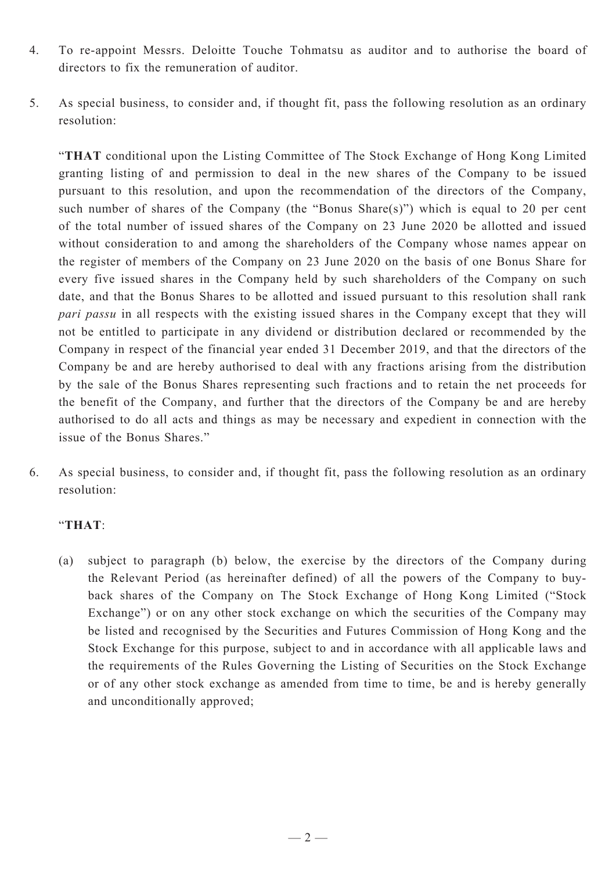- 4. To re-appoint Messrs. Deloitte Touche Tohmatsu as auditor and to authorise the board of directors to fix the remuneration of auditor.
- 5. As special business, to consider and, if thought fit, pass the following resolution as an ordinary resolution:

"**THAT** conditional upon the Listing Committee of The Stock Exchange of Hong Kong Limited granting listing of and permission to deal in the new shares of the Company to be issued pursuant to this resolution, and upon the recommendation of the directors of the Company, such number of shares of the Company (the "Bonus Share(s)") which is equal to 20 per cent of the total number of issued shares of the Company on 23 June 2020 be allotted and issued without consideration to and among the shareholders of the Company whose names appear on the register of members of the Company on 23 June 2020 on the basis of one Bonus Share for every five issued shares in the Company held by such shareholders of the Company on such date, and that the Bonus Shares to be allotted and issued pursuant to this resolution shall rank *pari passu* in all respects with the existing issued shares in the Company except that they will not be entitled to participate in any dividend or distribution declared or recommended by the Company in respect of the financial year ended 31 December 2019, and that the directors of the Company be and are hereby authorised to deal with any fractions arising from the distribution by the sale of the Bonus Shares representing such fractions and to retain the net proceeds for the benefit of the Company, and further that the directors of the Company be and are hereby authorised to do all acts and things as may be necessary and expedient in connection with the issue of the Bonus Shares."

6. As special business, to consider and, if thought fit, pass the following resolution as an ordinary resolution:

### "**THAT**:

(a) subject to paragraph (b) below, the exercise by the directors of the Company during the Relevant Period (as hereinafter defined) of all the powers of the Company to buyback shares of the Company on The Stock Exchange of Hong Kong Limited ("Stock Exchange") or on any other stock exchange on which the securities of the Company may be listed and recognised by the Securities and Futures Commission of Hong Kong and the Stock Exchange for this purpose, subject to and in accordance with all applicable laws and the requirements of the Rules Governing the Listing of Securities on the Stock Exchange or of any other stock exchange as amended from time to time, be and is hereby generally and unconditionally approved;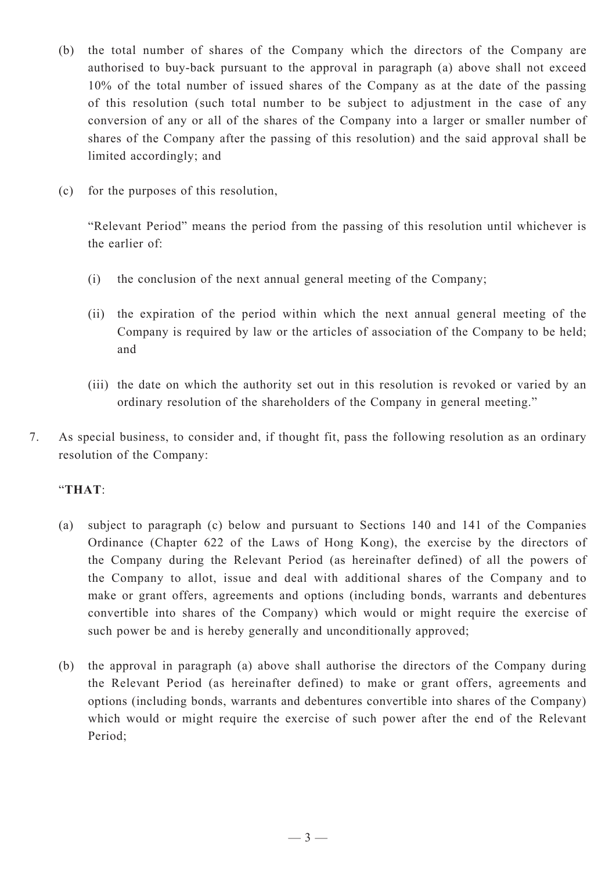- (b) the total number of shares of the Company which the directors of the Company are authorised to buy-back pursuant to the approval in paragraph (a) above shall not exceed 10% of the total number of issued shares of the Company as at the date of the passing of this resolution (such total number to be subject to adjustment in the case of any conversion of any or all of the shares of the Company into a larger or smaller number of shares of the Company after the passing of this resolution) and the said approval shall be limited accordingly; and
- (c) for the purposes of this resolution,

"Relevant Period" means the period from the passing of this resolution until whichever is the earlier of:

- (i) the conclusion of the next annual general meeting of the Company;
- (ii) the expiration of the period within which the next annual general meeting of the Company is required by law or the articles of association of the Company to be held; and
- (iii) the date on which the authority set out in this resolution is revoked or varied by an ordinary resolution of the shareholders of the Company in general meeting."
- 7. As special business, to consider and, if thought fit, pass the following resolution as an ordinary resolution of the Company:

## "**THAT**:

- (a) subject to paragraph (c) below and pursuant to Sections 140 and 141 of the Companies Ordinance (Chapter 622 of the Laws of Hong Kong), the exercise by the directors of the Company during the Relevant Period (as hereinafter defined) of all the powers of the Company to allot, issue and deal with additional shares of the Company and to make or grant offers, agreements and options (including bonds, warrants and debentures convertible into shares of the Company) which would or might require the exercise of such power be and is hereby generally and unconditionally approved;
- (b) the approval in paragraph (a) above shall authorise the directors of the Company during the Relevant Period (as hereinafter defined) to make or grant offers, agreements and options (including bonds, warrants and debentures convertible into shares of the Company) which would or might require the exercise of such power after the end of the Relevant Period;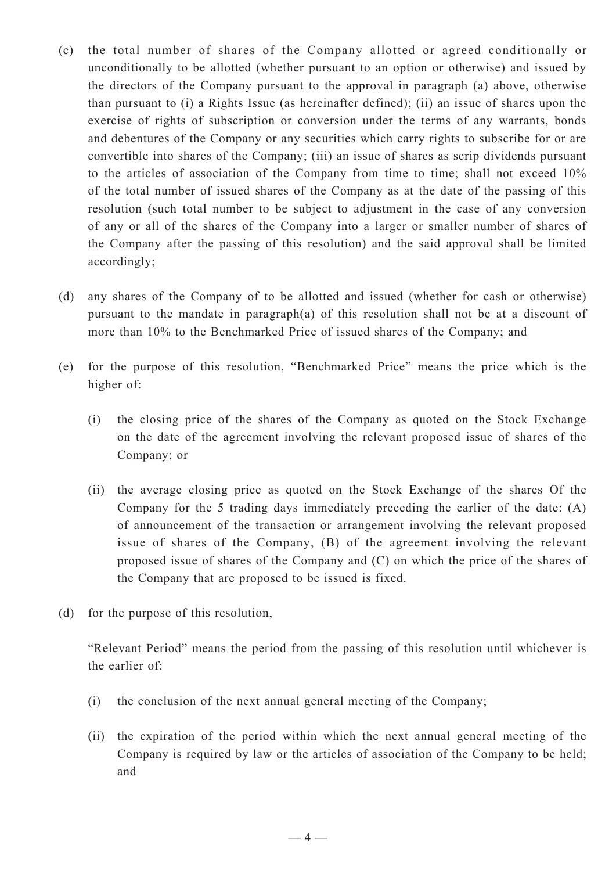- (c) the total number of shares of the Company allotted or agreed conditionally or unconditionally to be allotted (whether pursuant to an option or otherwise) and issued by the directors of the Company pursuant to the approval in paragraph (a) above, otherwise than pursuant to (i) a Rights Issue (as hereinafter defined); (ii) an issue of shares upon the exercise of rights of subscription or conversion under the terms of any warrants, bonds and debentures of the Company or any securities which carry rights to subscribe for or are convertible into shares of the Company; (iii) an issue of shares as scrip dividends pursuant to the articles of association of the Company from time to time; shall not exceed 10% of the total number of issued shares of the Company as at the date of the passing of this resolution (such total number to be subject to adjustment in the case of any conversion of any or all of the shares of the Company into a larger or smaller number of shares of the Company after the passing of this resolution) and the said approval shall be limited accordingly;
- (d) any shares of the Company of to be allotted and issued (whether for cash or otherwise) pursuant to the mandate in paragraph(a) of this resolution shall not be at a discount of more than 10% to the Benchmarked Price of issued shares of the Company; and
- (e) for the purpose of this resolution, "Benchmarked Price" means the price which is the higher of:
	- (i) the closing price of the shares of the Company as quoted on the Stock Exchange on the date of the agreement involving the relevant proposed issue of shares of the Company; or
	- (ii) the average closing price as quoted on the Stock Exchange of the shares Of the Company for the 5 trading days immediately preceding the earlier of the date: (A) of announcement of the transaction or arrangement involving the relevant proposed issue of shares of the Company, (B) of the agreement involving the relevant proposed issue of shares of the Company and (C) on which the price of the shares of the Company that are proposed to be issued is fixed.
- (d) for the purpose of this resolution,

"Relevant Period" means the period from the passing of this resolution until whichever is the earlier of:

- (i) the conclusion of the next annual general meeting of the Company;
- (ii) the expiration of the period within which the next annual general meeting of the Company is required by law or the articles of association of the Company to be held; and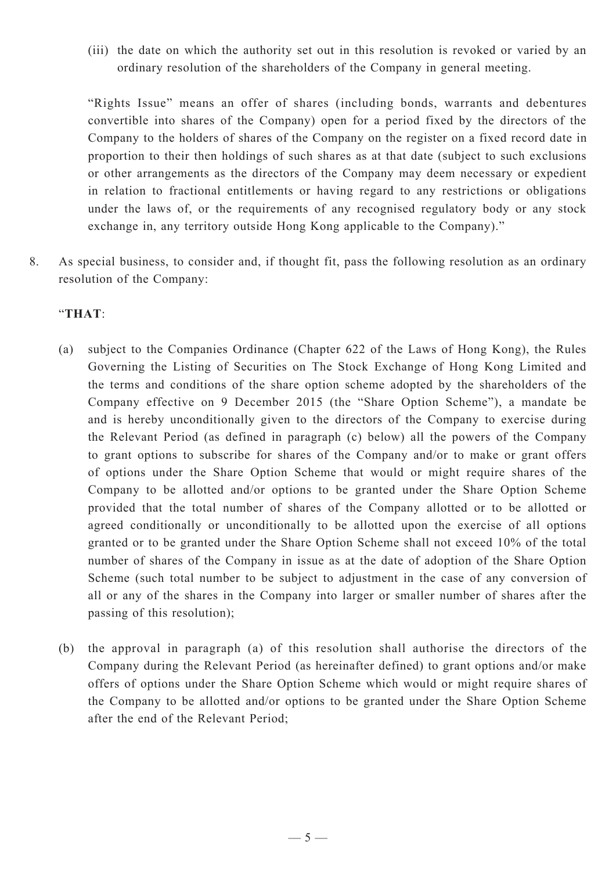(iii) the date on which the authority set out in this resolution is revoked or varied by an ordinary resolution of the shareholders of the Company in general meeting.

"Rights Issue" means an offer of shares (including bonds, warrants and debentures convertible into shares of the Company) open for a period fixed by the directors of the Company to the holders of shares of the Company on the register on a fixed record date in proportion to their then holdings of such shares as at that date (subject to such exclusions or other arrangements as the directors of the Company may deem necessary or expedient in relation to fractional entitlements or having regard to any restrictions or obligations under the laws of, or the requirements of any recognised regulatory body or any stock exchange in, any territory outside Hong Kong applicable to the Company)."

8. As special business, to consider and, if thought fit, pass the following resolution as an ordinary resolution of the Company:

#### "**THAT**:

- (a) subject to the Companies Ordinance (Chapter 622 of the Laws of Hong Kong), the Rules Governing the Listing of Securities on The Stock Exchange of Hong Kong Limited and the terms and conditions of the share option scheme adopted by the shareholders of the Company effective on 9 December 2015 (the "Share Option Scheme"), a mandate be and is hereby unconditionally given to the directors of the Company to exercise during the Relevant Period (as defined in paragraph (c) below) all the powers of the Company to grant options to subscribe for shares of the Company and/or to make or grant offers of options under the Share Option Scheme that would or might require shares of the Company to be allotted and/or options to be granted under the Share Option Scheme provided that the total number of shares of the Company allotted or to be allotted or agreed conditionally or unconditionally to be allotted upon the exercise of all options granted or to be granted under the Share Option Scheme shall not exceed 10% of the total number of shares of the Company in issue as at the date of adoption of the Share Option Scheme (such total number to be subject to adjustment in the case of any conversion of all or any of the shares in the Company into larger or smaller number of shares after the passing of this resolution);
- (b) the approval in paragraph (a) of this resolution shall authorise the directors of the Company during the Relevant Period (as hereinafter defined) to grant options and/or make offers of options under the Share Option Scheme which would or might require shares of the Company to be allotted and/or options to be granted under the Share Option Scheme after the end of the Relevant Period;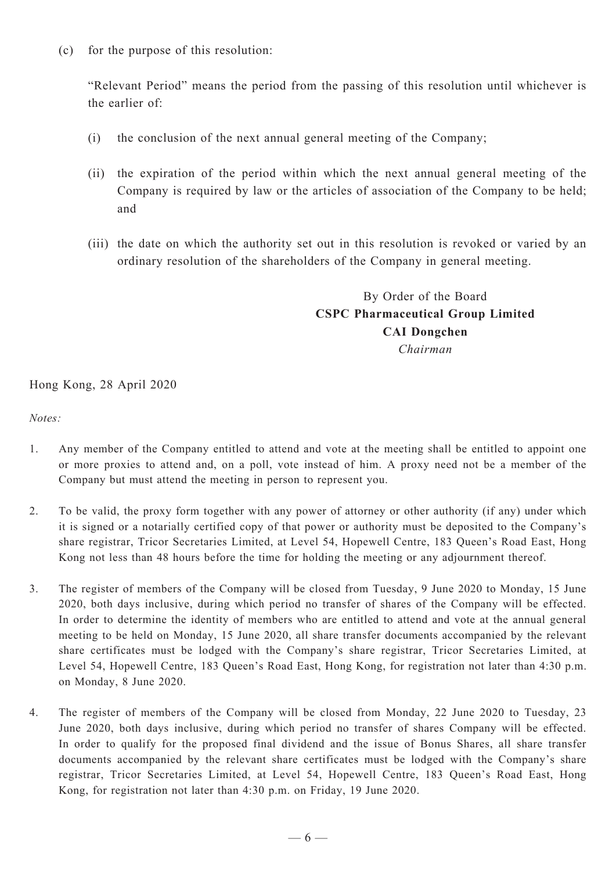(c) for the purpose of this resolution:

"Relevant Period" means the period from the passing of this resolution until whichever is the earlier of:

- (i) the conclusion of the next annual general meeting of the Company;
- (ii) the expiration of the period within which the next annual general meeting of the Company is required by law or the articles of association of the Company to be held; and
- (iii) the date on which the authority set out in this resolution is revoked or varied by an ordinary resolution of the shareholders of the Company in general meeting.

# By Order of the Board **CSPC Pharmaceutical Group Limited CAI Dongchen**

*Chairman*

Hong Kong, 28 April 2020

*Notes:*

- 1. Any member of the Company entitled to attend and vote at the meeting shall be entitled to appoint one or more proxies to attend and, on a poll, vote instead of him. A proxy need not be a member of the Company but must attend the meeting in person to represent you.
- 2. To be valid, the proxy form together with any power of attorney or other authority (if any) under which it is signed or a notarially certified copy of that power or authority must be deposited to the Company's share registrar, Tricor Secretaries Limited, at Level 54, Hopewell Centre, 183 Queen's Road East, Hong Kong not less than 48 hours before the time for holding the meeting or any adjournment thereof.
- 3. The register of members of the Company will be closed from Tuesday, 9 June 2020 to Monday, 15 June 2020, both days inclusive, during which period no transfer of shares of the Company will be effected. In order to determine the identity of members who are entitled to attend and vote at the annual general meeting to be held on Monday, 15 June 2020, all share transfer documents accompanied by the relevant share certificates must be lodged with the Company's share registrar, Tricor Secretaries Limited, at Level 54, Hopewell Centre, 183 Queen's Road East, Hong Kong, for registration not later than 4:30 p.m. on Monday, 8 June 2020.
- 4. The register of members of the Company will be closed from Monday, 22 June 2020 to Tuesday, 23 June 2020, both days inclusive, during which period no transfer of shares Company will be effected. In order to qualify for the proposed final dividend and the issue of Bonus Shares, all share transfer documents accompanied by the relevant share certificates must be lodged with the Company's share registrar, Tricor Secretaries Limited, at Level 54, Hopewell Centre, 183 Queen's Road East, Hong Kong, for registration not later than 4:30 p.m. on Friday, 19 June 2020.